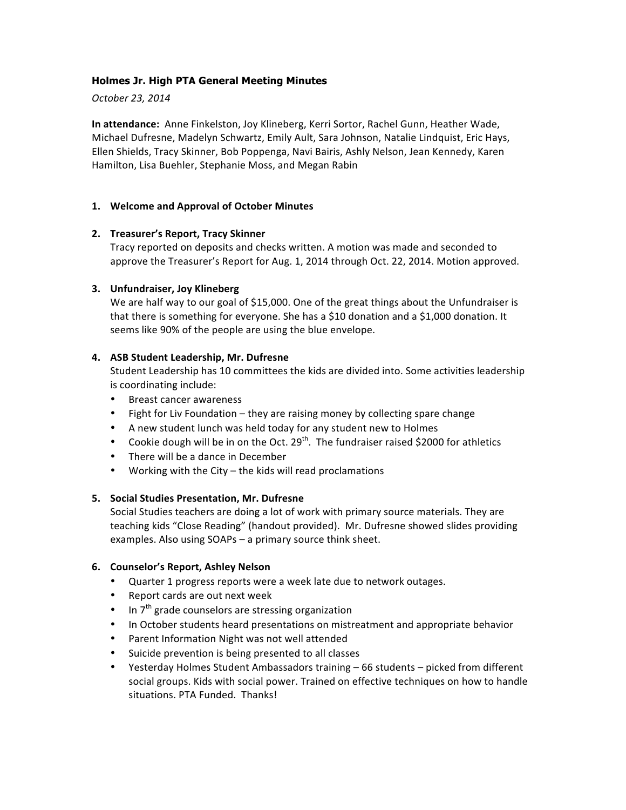## **Holmes Jr. High PTA General Meeting Minutes**

*October 23, 2014*

**In attendance:** Anne Finkelston, Joy Klineberg, Kerri Sortor, Rachel Gunn, Heather Wade, Michael Dufresne, Madelyn Schwartz, Emily Ault, Sara Johnson, Natalie Lindquist, Eric Hays, Ellen Shields, Tracy Skinner, Bob Poppenga, Navi Bairis, Ashly Nelson, Jean Kennedy, Karen Hamilton, Lisa Buehler, Stephanie Moss, and Megan Rabin

## **1. Welcome and Approval of October Minutes**

## **2. Treasurer's Report, Tracy Skinner**

Tracy reported on deposits and checks written. A motion was made and seconded to approve the Treasurer's Report for Aug. 1, 2014 through Oct. 22, 2014. Motion approved.

## **3.** Unfundraiser, Joy Klineberg

We are half way to our goal of \$15,000. One of the great things about the Unfundraiser is that there is something for everyone. She has a \$10 donation and a \$1,000 donation. It seems like 90% of the people are using the blue envelope.

## **4. ASB Student Leadership, Mr. Dufresne**

Student Leadership has 10 committees the kids are divided into. Some activities leadership is coordinating include:

- Breast cancer awareness
- Fight for Liv Foundation they are raising money by collecting spare change
- A new student lunch was held today for any student new to Holmes
- Cookie dough will be in on the Oct. 29<sup>th</sup>. The fundraiser raised \$2000 for athletics
- There will be a dance in December
- Working with the City the kids will read proclamations

#### **5. Social Studies Presentation, Mr. Dufresne**

Social Studies teachers are doing a lot of work with primary source materials. They are teaching kids "Close Reading" (handout provided). Mr. Dufresne showed slides providing examples. Also using SOAPs - a primary source think sheet.

#### **6. Counselor's Report, Ashley Nelson**

- Quarter 1 progress reports were a week late due to network outages.
- Report cards are out next week
- In  $7<sup>th</sup>$  grade counselors are stressing organization
- In October students heard presentations on mistreatment and appropriate behavior
- Parent Information Night was not well attended
- Suicide prevention is being presented to all classes
- Yesterday Holmes Student Ambassadors training 66 students picked from different social groups. Kids with social power. Trained on effective techniques on how to handle situations. PTA Funded. Thanks!